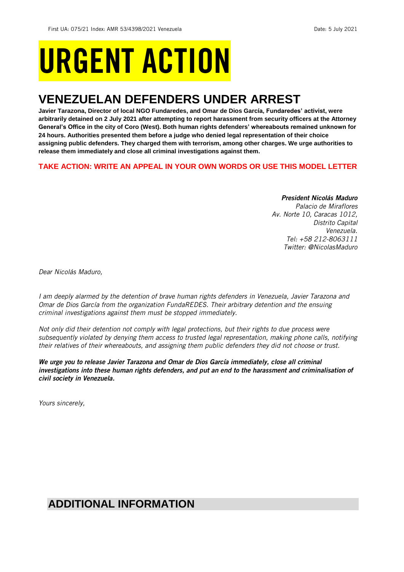# URGENT ACTION

## **VENEZUELAN DEFENDERS UNDER ARREST**

**Javier Tarazona, Director of local NGO Fundaredes, and Omar de Dios García, Fundaredes' activist, were arbitrarily detained on 2 July 2021 after attempting to report harassment from security officers at the Attorney General's Office in the city of Coro (West). Both human rights defenders' whereabouts remained unknown for 24 hours. Authorities presented them before a judge who denied legal representation of their choice assigning public defenders. They charged them with terrorism, among other charges. We urge authorities to release them immediately and close all criminal investigations against them.**

## **TAKE ACTION: WRITE AN APPEAL IN YOUR OWN WORDS OR USE THIS MODEL LETTER**

## *President Nicolás Maduro*

*Palacio de Miraflores Av. Norte 10, Caracas 1012, Distrito Capital Venezuela. Tel: +58 212-8063111 Twitter: @NicolasMaduro*

*Dear Nicolás Maduro,*

*I am deeply alarmed by the detention of brave human rights defenders in Venezuela, Javier Tarazona and Omar de Dios García from the organization FundaREDES. Their arbitrary detention and the ensuing criminal investigations against them must be stopped immediately.* 

*Not only did their detention not comply with legal protections, but their rights to due process were subsequently violated by denying them access to trusted legal representation, making phone calls, notifying their relatives of their whereabouts, and assigning them public defenders they did not choose or trust.*

*We urge you to release Javier Tarazona and Omar de Dios García immediately, close all criminal investigations into these human rights defenders, and put an end to the harassment and criminalisation of civil society in Venezuela.*

*Yours sincerely,*

## **ADDITIONAL INFORMATION**